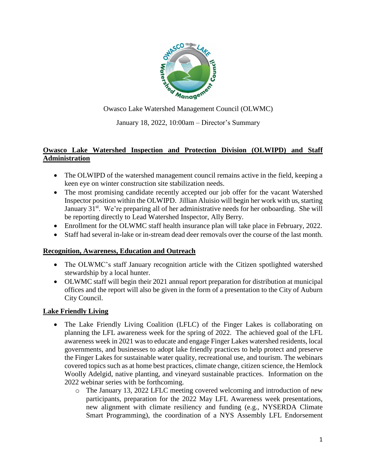

Owasco Lake Watershed Management Council (OLWMC)

January 18, 2022, 10:00am – Director's Summary

## **Owasco Lake Watershed Inspection and Protection Division (OLWIPD) and Staff Administration**

- The OLWIPD of the watershed management council remains active in the field, keeping a keen eye on winter construction site stabilization needs.
- The most promising candidate recently accepted our job offer for the vacant Watershed Inspector position within the OLWIPD. Jillian Aluisio will begin her work with us, starting January  $31<sup>st</sup>$ . We're preparing all of her administrative needs for her onboarding. She will be reporting directly to Lead Watershed Inspector, Ally Berry.
- Enrollment for the OLWMC staff health insurance plan will take place in February, 2022.
- Staff had several in-lake or in-stream dead deer removals over the course of the last month.

### **Recognition, Awareness, Education and Outreach**

- The OLWMC's staff January recognition article with the Citizen spotlighted watershed stewardship by a local hunter.
- OLWMC staff will begin their 2021 annual report preparation for distribution at municipal offices and the report will also be given in the form of a presentation to the City of Auburn City Council.

### **Lake Friendly Living**

- The Lake Friendly Living Coalition (LFLC) of the Finger Lakes is collaborating on planning the LFL awareness week for the spring of 2022. The achieved goal of the LFL awareness week in 2021 was to educate and engage Finger Lakes watershed residents, local governments, and businesses to adopt lake friendly practices to help protect and preserve the Finger Lakes for sustainable water quality, recreational use, and tourism. The webinars covered topics such as at home best practices, climate change, citizen science, the Hemlock Woolly Adelgid, native planting, and vineyard sustainable practices. Information on the 2022 webinar series with be forthcoming.
	- o The January 13, 2022 LFLC meeting covered welcoming and introduction of new participants, preparation for the 2022 May LFL Awareness week presentations, new alignment with climate resiliency and funding (e.g., NYSERDA Climate Smart Programming), the coordination of a NYS Assembly LFL Endorsement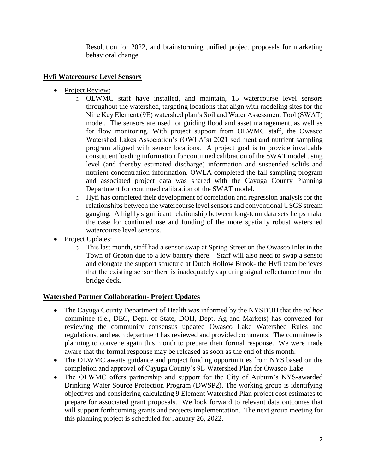Resolution for 2022, and brainstorming unified project proposals for marketing behavioral change.

# **Hyfi Watercourse Level Sensors**

- Project Review:
	- o OLWMC staff have installed, and maintain, 15 watercourse level sensors throughout the watershed, targeting locations that align with modeling sites for the Nine Key Element (9E) watershed plan's Soil and Water Assessment Tool (SWAT) model. The sensors are used for guiding flood and asset management, as well as for flow monitoring. With project support from OLWMC staff, the Owasco Watershed Lakes Association's (OWLA's) 2021 sediment and nutrient sampling program aligned with sensor locations. A project goal is to provide invaluable constituent loading information for continued calibration of the SWAT model using level (and thereby estimated discharge) information and suspended solids and nutrient concentration information. OWLA completed the fall sampling program and associated project data was shared with the Cayuga County Planning Department for continued calibration of the SWAT model.
	- o Hyfi has completed their development of correlation and regression analysis for the relationships between the watercourse level sensors and conventional USGS stream gauging. A highly significant relationship between long-term data sets helps make the case for continued use and funding of the more spatially robust watershed watercourse level sensors.
- Project Updates:
	- o This last month, staff had a sensor swap at Spring Street on the Owasco Inlet in the Town of Groton due to a low battery there. Staff will also need to swap a sensor and elongate the support structure at Dutch Hollow Brook- the Hyfi team believes that the existing sensor there is inadequately capturing signal reflectance from the bridge deck.

# **Watershed Partner Collaboration- Project Updates**

- The Cayuga County Department of Health was informed by the NYSDOH that the *ad hoc* committee (i.e., DEC, Dept. of State, DOH, Dept. Ag and Markets) has convened for reviewing the community consensus updated Owasco Lake Watershed Rules and regulations, and each department has reviewed and provided comments. The committee is planning to convene again this month to prepare their formal response. We were made aware that the formal response may be released as soon as the end of this month.
- The OLWMC awaits guidance and project funding opportunities from NYS based on the completion and approval of Cayuga County's 9E Watershed Plan for Owasco Lake.
- The OLWMC offers partnership and support for the City of Auburn's NYS-awarded Drinking Water Source Protection Program (DWSP2). The working group is identifying objectives and considering calculating 9 Element Watershed Plan project cost estimates to prepare for associated grant proposals. We look forward to relevant data outcomes that will support forthcoming grants and projects implementation. The next group meeting for this planning project is scheduled for January 26, 2022.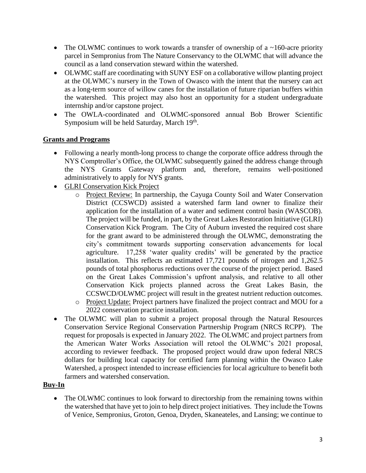- The OLWMC continues to work towards a transfer of ownership of a  $\sim$ 160-acre priority parcel in Sempronius from The Nature Conservancy to the OLWMC that will advance the council as a land conservation steward within the watershed.
- OLWMC staff are coordinating with SUNY ESF on a collaborative willow planting project at the OLWMC's nursery in the Town of Owasco with the intent that the nursery can act as a long-term source of willow canes for the installation of future riparian buffers within the watershed. This project may also host an opportunity for a student undergraduate internship and/or capstone project.
- The OWLA-coordinated and OLWMC-sponsored annual Bob Brower Scientific Symposium will be held Saturday, March 19<sup>th</sup>.

## **Grants and Programs**

- Following a nearly month-long process to change the corporate office address through the NYS Comptroller's Office, the OLWMC subsequently gained the address change through the NYS Grants Gateway platform and, therefore, remains well-positioned administratively to apply for NYS grants.
- GLRI Conservation Kick Project
	- o Project Review: In partnership, the Cayuga County Soil and Water Conservation District (CCSWCD) assisted a watershed farm land owner to finalize their application for the installation of a water and sediment control basin (WASCOB). The project will be funded, in part, by the Great Lakes Restoration Initiative (GLRI) Conservation Kick Program. The City of Auburn invested the required cost share for the grant award to be administered through the OLWMC, demonstrating the city's commitment towards supporting conservation advancements for local agriculture. 17,258 'water quality credits' will be generated by the practice installation. This reflects an estimated 17,721 pounds of nitrogen and 1,262.5 pounds of total phosphorus reductions over the course of the project period. Based on the Great Lakes Commission's upfront analysis, and relative to all other Conservation Kick projects planned across the Great Lakes Basin, the CCSWCD/OLWMC project will result in the greatest nutrient reduction outcomes.
	- o Project Update: Project partners have finalized the project contract and MOU for a 2022 conservation practice installation.
- The OLWMC will plan to submit a project proposal through the Natural Resources Conservation Service Regional Conservation Partnership Program (NRCS RCPP). The request for proposals is expected in January 2022. The OLWMC and project partners from the American Water Works Association will retool the OLWMC's 2021 proposal, according to reviewer feedback. The proposed project would draw upon federal NRCS dollars for building local capacity for certified farm planning within the Owasco Lake Watershed, a prospect intended to increase efficiencies for local agriculture to benefit both farmers and watershed conservation.

#### **Buy-In**

• The OLWMC continues to look forward to directorship from the remaining towns within the watershed that have yet to join to help direct project initiatives. They include the Towns of Venice, Sempronius, Groton, Genoa, Dryden, Skaneateles, and Lansing; we continue to